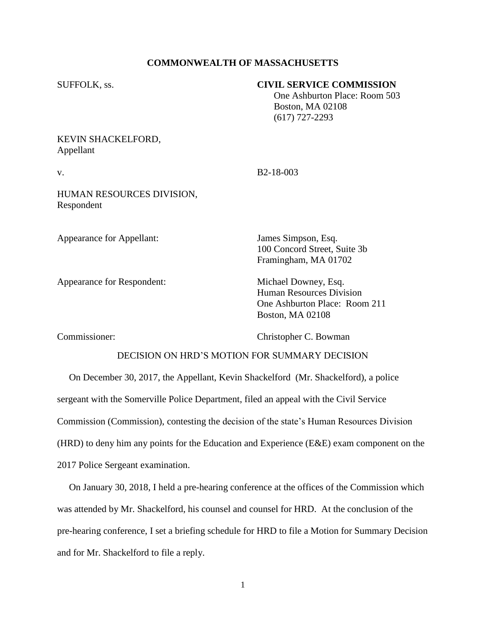## **COMMONWEALTH OF MASSACHUSETTS**

| <b>SUFFOLK</b> , ss.                    | <b>CIVIL SERVICE COMMISSION</b><br>One Ashburton Place: Room 503<br><b>Boston, MA 02108</b><br>$(617)$ 727-2293     |
|-----------------------------------------|---------------------------------------------------------------------------------------------------------------------|
| KEVIN SHACKELFORD,<br>Appellant         |                                                                                                                     |
| v.                                      | B <sub>2</sub> -18-003                                                                                              |
| HUMAN RESOURCES DIVISION,<br>Respondent |                                                                                                                     |
| <b>Appearance for Appellant:</b>        | James Simpson, Esq.<br>100 Concord Street, Suite 3b<br>Framingham, MA 01702                                         |
| <b>Appearance for Respondent:</b>       | Michael Downey, Esq.<br><b>Human Resources Division</b><br>One Ashburton Place: Room 211<br><b>Boston, MA 02108</b> |

Commissioner: Christopher C. Bowman

## DECISION ON HRD'S MOTION FOR SUMMARY DECISION

 On December 30, 2017, the Appellant, Kevin Shackelford (Mr. Shackelford), a police sergeant with the Somerville Police Department, filed an appeal with the Civil Service Commission (Commission), contesting the decision of the state's Human Resources Division (HRD) to deny him any points for the Education and Experience (E&E) exam component on the 2017 Police Sergeant examination.

 On January 30, 2018, I held a pre-hearing conference at the offices of the Commission which was attended by Mr. Shackelford, his counsel and counsel for HRD. At the conclusion of the pre-hearing conference, I set a briefing schedule for HRD to file a Motion for Summary Decision and for Mr. Shackelford to file a reply.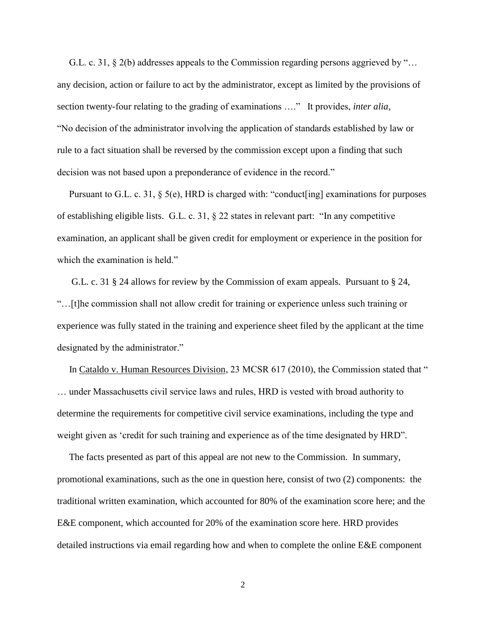G.L. c. 31, § 2(b) addresses appeals to the Commission regarding persons aggrieved by "… any decision, action or failure to act by the administrator, except as limited by the provisions of section twenty-four relating to the grading of examinations …." It provides, *inter alia*, "No decision of the administrator involving the application of standards established by law or rule to a fact situation shall be reversed by the commission except upon a finding that such decision was not based upon a preponderance of evidence in the record."

 Pursuant to G.L. c. 31, § 5(e), HRD is charged with: "conduct[ing] examinations for purposes of establishing eligible lists. G.L. c. 31, § 22 states in relevant part: "In any competitive examination, an applicant shall be given credit for employment or experience in the position for which the examination is held."

 G.L. c. 31 § 24 allows for review by the Commission of exam appeals. Pursuant to § 24, "…[t]he commission shall not allow credit for training or experience unless such training or experience was fully stated in the training and experience sheet filed by the applicant at the time designated by the administrator."

 In Cataldo v. Human Resources Division, 23 MCSR 617 (2010), the Commission stated that " … under Massachusetts civil service laws and rules, HRD is vested with broad authority to determine the requirements for competitive civil service examinations, including the type and weight given as 'credit for such training and experience as of the time designated by HRD".

 The facts presented as part of this appeal are not new to the Commission. In summary, promotional examinations, such as the one in question here, consist of two (2) components: the traditional written examination, which accounted for 80% of the examination score here; and the E&E component, which accounted for 20% of the examination score here. HRD provides detailed instructions via email regarding how and when to complete the online E&E component

2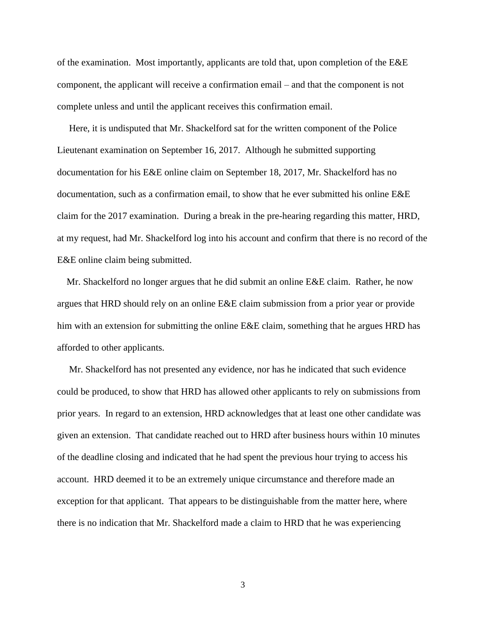of the examination. Most importantly, applicants are told that, upon completion of the E&E component, the applicant will receive a confirmation email – and that the component is not complete unless and until the applicant receives this confirmation email.

 Here, it is undisputed that Mr. Shackelford sat for the written component of the Police Lieutenant examination on September 16, 2017. Although he submitted supporting documentation for his E&E online claim on September 18, 2017, Mr. Shackelford has no documentation, such as a confirmation email, to show that he ever submitted his online E&E claim for the 2017 examination. During a break in the pre-hearing regarding this matter, HRD, at my request, had Mr. Shackelford log into his account and confirm that there is no record of the E&E online claim being submitted.

 Mr. Shackelford no longer argues that he did submit an online E&E claim. Rather, he now argues that HRD should rely on an online E&E claim submission from a prior year or provide him with an extension for submitting the online E&E claim, something that he argues HRD has afforded to other applicants.

 Mr. Shackelford has not presented any evidence, nor has he indicated that such evidence could be produced, to show that HRD has allowed other applicants to rely on submissions from prior years. In regard to an extension, HRD acknowledges that at least one other candidate was given an extension. That candidate reached out to HRD after business hours within 10 minutes of the deadline closing and indicated that he had spent the previous hour trying to access his account. HRD deemed it to be an extremely unique circumstance and therefore made an exception for that applicant. That appears to be distinguishable from the matter here, where there is no indication that Mr. Shackelford made a claim to HRD that he was experiencing

3